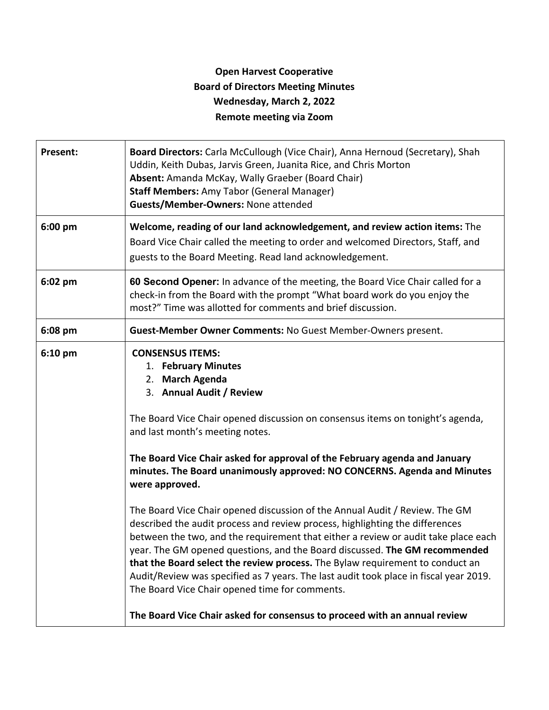## **Open Harvest Cooperative Board of Directors Meeting Minutes Wednesday, March 2, 2022 Remote meeting via Zoom**

|                             | Board Directors: Carla McCullough (Vice Chair), Anna Hernoud (Secretary), Shah<br>Uddin, Keith Dubas, Jarvis Green, Juanita Rice, and Chris Morton<br>Absent: Amanda McKay, Wally Graeber (Board Chair)<br><b>Staff Members: Amy Tabor (General Manager)</b><br>Guests/Member-Owners: None attended                                                                                                                                                                                                                                                                                                                                                                                                                                                                                                                                                                                                                                                                                                                      |
|-----------------------------|--------------------------------------------------------------------------------------------------------------------------------------------------------------------------------------------------------------------------------------------------------------------------------------------------------------------------------------------------------------------------------------------------------------------------------------------------------------------------------------------------------------------------------------------------------------------------------------------------------------------------------------------------------------------------------------------------------------------------------------------------------------------------------------------------------------------------------------------------------------------------------------------------------------------------------------------------------------------------------------------------------------------------|
| 6:00 pm                     | Welcome, reading of our land acknowledgement, and review action items: The<br>Board Vice Chair called the meeting to order and welcomed Directors, Staff, and<br>guests to the Board Meeting. Read land acknowledgement.                                                                                                                                                                                                                                                                                                                                                                                                                                                                                                                                                                                                                                                                                                                                                                                                 |
| 6:02 pm                     | 60 Second Opener: In advance of the meeting, the Board Vice Chair called for a<br>check-in from the Board with the prompt "What board work do you enjoy the<br>most?" Time was allotted for comments and brief discussion.                                                                                                                                                                                                                                                                                                                                                                                                                                                                                                                                                                                                                                                                                                                                                                                               |
| 6:08 pm                     | Guest-Member Owner Comments: No Guest Member-Owners present.                                                                                                                                                                                                                                                                                                                                                                                                                                                                                                                                                                                                                                                                                                                                                                                                                                                                                                                                                             |
| $6:10$ pm<br>were approved. | <b>CONSENSUS ITEMS:</b><br>1. February Minutes<br>2. March Agenda<br>3. Annual Audit / Review<br>The Board Vice Chair opened discussion on consensus items on tonight's agenda,<br>and last month's meeting notes.<br>The Board Vice Chair asked for approval of the February agenda and January<br>minutes. The Board unanimously approved: NO CONCERNS. Agenda and Minutes<br>The Board Vice Chair opened discussion of the Annual Audit / Review. The GM<br>described the audit process and review process, highlighting the differences<br>between the two, and the requirement that either a review or audit take place each<br>year. The GM opened questions, and the Board discussed. The GM recommended<br>that the Board select the review process. The Bylaw requirement to conduct an<br>Audit/Review was specified as 7 years. The last audit took place in fiscal year 2019.<br>The Board Vice Chair opened time for comments.<br>The Board Vice Chair asked for consensus to proceed with an annual review |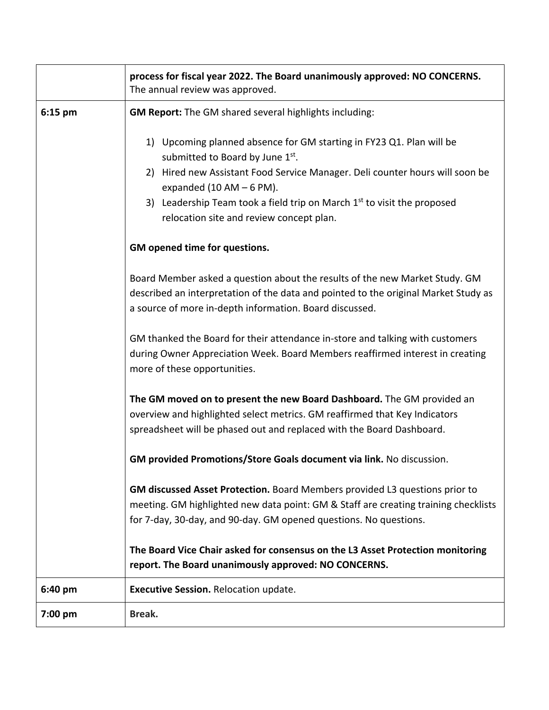|         | process for fiscal year 2022. The Board unanimously approved: NO CONCERNS.<br>The annual review was approved.                                                                                                                                                                                                                                            |
|---------|----------------------------------------------------------------------------------------------------------------------------------------------------------------------------------------------------------------------------------------------------------------------------------------------------------------------------------------------------------|
| 6:15 pm | <b>GM Report:</b> The GM shared several highlights including:                                                                                                                                                                                                                                                                                            |
|         | 1) Upcoming planned absence for GM starting in FY23 Q1. Plan will be<br>submitted to Board by June 1st.<br>2) Hired new Assistant Food Service Manager. Deli counter hours will soon be<br>expanded (10 AM $-$ 6 PM).<br>3) Leadership Team took a field trip on March 1 <sup>st</sup> to visit the proposed<br>relocation site and review concept plan. |
|         | GM opened time for questions.                                                                                                                                                                                                                                                                                                                            |
|         | Board Member asked a question about the results of the new Market Study. GM<br>described an interpretation of the data and pointed to the original Market Study as<br>a source of more in-depth information. Board discussed.                                                                                                                            |
|         | GM thanked the Board for their attendance in-store and talking with customers<br>during Owner Appreciation Week. Board Members reaffirmed interest in creating<br>more of these opportunities.                                                                                                                                                           |
|         | The GM moved on to present the new Board Dashboard. The GM provided an<br>overview and highlighted select metrics. GM reaffirmed that Key Indicators<br>spreadsheet will be phased out and replaced with the Board Dashboard.                                                                                                                            |
|         | GM provided Promotions/Store Goals document via link. No discussion.                                                                                                                                                                                                                                                                                     |
|         | GM discussed Asset Protection. Board Members provided L3 questions prior to<br>meeting. GM highlighted new data point: GM & Staff are creating training checklists<br>for 7-day, 30-day, and 90-day. GM opened questions. No questions.                                                                                                                  |
|         | The Board Vice Chair asked for consensus on the L3 Asset Protection monitoring<br>report. The Board unanimously approved: NO CONCERNS.                                                                                                                                                                                                                   |
| 6:40 pm | Executive Session. Relocation update.                                                                                                                                                                                                                                                                                                                    |
| 7:00 pm | Break.                                                                                                                                                                                                                                                                                                                                                   |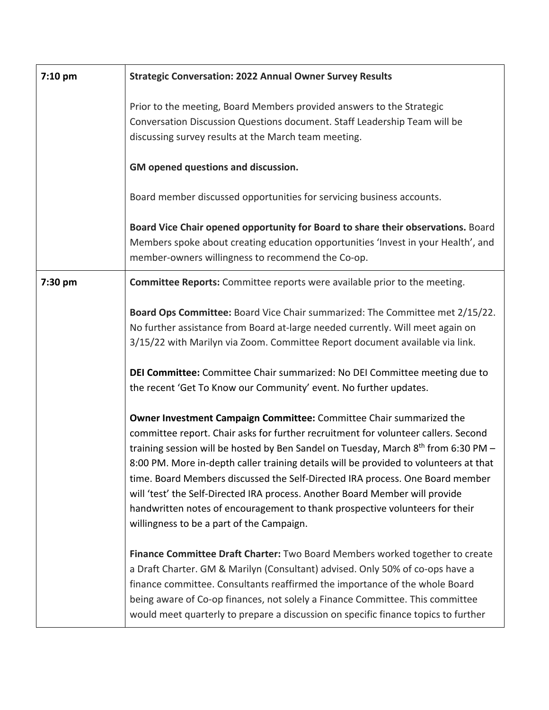| 7:10 pm | <b>Strategic Conversation: 2022 Annual Owner Survey Results</b>                                                                                                                                                                                                                                                                                                                                                                                                                                                                                                                                                                                    |
|---------|----------------------------------------------------------------------------------------------------------------------------------------------------------------------------------------------------------------------------------------------------------------------------------------------------------------------------------------------------------------------------------------------------------------------------------------------------------------------------------------------------------------------------------------------------------------------------------------------------------------------------------------------------|
|         | Prior to the meeting, Board Members provided answers to the Strategic<br>Conversation Discussion Questions document. Staff Leadership Team will be<br>discussing survey results at the March team meeting.                                                                                                                                                                                                                                                                                                                                                                                                                                         |
|         | GM opened questions and discussion.                                                                                                                                                                                                                                                                                                                                                                                                                                                                                                                                                                                                                |
|         | Board member discussed opportunities for servicing business accounts.                                                                                                                                                                                                                                                                                                                                                                                                                                                                                                                                                                              |
|         | Board Vice Chair opened opportunity for Board to share their observations. Board<br>Members spoke about creating education opportunities 'Invest in your Health', and<br>member-owners willingness to recommend the Co-op.                                                                                                                                                                                                                                                                                                                                                                                                                         |
| 7:30 pm | <b>Committee Reports:</b> Committee reports were available prior to the meeting.                                                                                                                                                                                                                                                                                                                                                                                                                                                                                                                                                                   |
|         | Board Ops Committee: Board Vice Chair summarized: The Committee met 2/15/22.<br>No further assistance from Board at-large needed currently. Will meet again on<br>3/15/22 with Marilyn via Zoom. Committee Report document available via link.                                                                                                                                                                                                                                                                                                                                                                                                     |
|         | DEI Committee: Committee Chair summarized: No DEI Committee meeting due to<br>the recent 'Get To Know our Community' event. No further updates.                                                                                                                                                                                                                                                                                                                                                                                                                                                                                                    |
|         | Owner Investment Campaign Committee: Committee Chair summarized the<br>committee report. Chair asks for further recruitment for volunteer callers. Second<br>training session will be hosted by Ben Sandel on Tuesday, March 8 <sup>th</sup> from 6:30 PM -<br>8:00 PM. More in-depth caller training details will be provided to volunteers at that<br>time. Board Members discussed the Self-Directed IRA process. One Board member<br>will 'test' the Self-Directed IRA process. Another Board Member will provide<br>handwritten notes of encouragement to thank prospective volunteers for their<br>willingness to be a part of the Campaign. |
|         | Finance Committee Draft Charter: Two Board Members worked together to create<br>a Draft Charter. GM & Marilyn (Consultant) advised. Only 50% of co-ops have a<br>finance committee. Consultants reaffirmed the importance of the whole Board<br>being aware of Co-op finances, not solely a Finance Committee. This committee<br>would meet quarterly to prepare a discussion on specific finance topics to further                                                                                                                                                                                                                                |